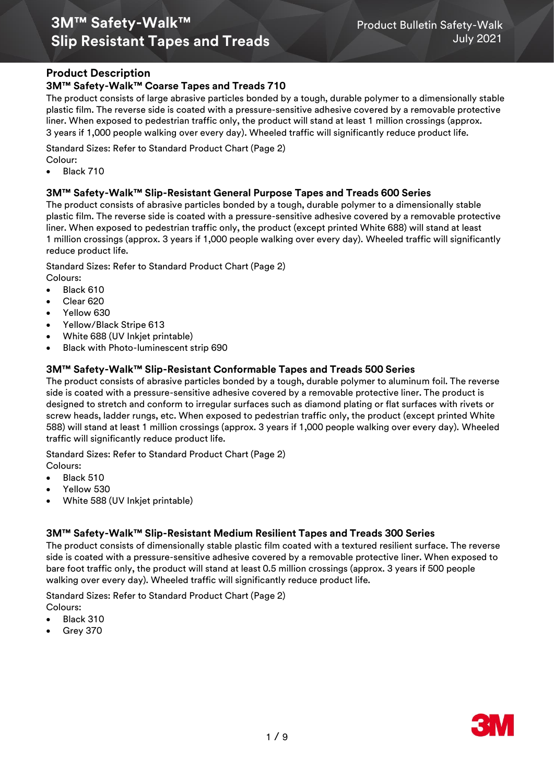# **3M™ Safety-Walk™** Product Bulletin Safety-Walk **Slip Resistant Tapes and Treads** July 2021

## **Product Description**

## **3M™ Safety-Walk™ Coarse Tapes and Treads 710**

The product consists of large abrasive particles bonded by a tough, durable polymer to a dimensionally stable plastic film. The reverse side is coated with a pressure-sensitive adhesive covered by a removable protective liner. When exposed to pedestrian traffic only, the product will stand at least 1 million crossings (approx. 3 years if 1,000 people walking over every day). Wheeled traffic will significantly reduce product life.

Standard Sizes: Refer to Standard Product Chart (Page 2)

Colour:

Black 710

## **3M™ Safety-Walk™ Slip-Resistant General Purpose Tapes and Treads 600 Series**

The product consists of abrasive particles bonded by a tough, durable polymer to a dimensionally stable plastic film. The reverse side is coated with a pressure-sensitive adhesive covered by a removable protective liner. When exposed to pedestrian traffic only, the product (except printed White 688) will stand at least 1 million crossings (approx. 3 years if 1,000 people walking over every day). Wheeled traffic will significantly reduce product life.

Standard Sizes: Refer to Standard Product Chart (Page 2)

- Colours:
- Black 610
- Clear<sub>620</sub>
- Yellow 630
- Yellow/Black Stripe 613
- White 688 (UV Inkjet printable)
- Black with Photo-luminescent strip 690

## **3M™ Safety-Walk™ Slip-Resistant Conformable Tapes and Treads 500 Series**

The product consists of abrasive particles bonded by a tough, durable polymer to aluminum foil. The reverse side is coated with a pressure-sensitive adhesive covered by a removable protective liner. The product is designed to stretch and conform to irregular surfaces such as diamond plating or flat surfaces with rivets or screw heads, ladder rungs, etc. When exposed to pedestrian traffic only, the product (except printed White 588) will stand at least 1 million crossings (approx. 3 years if 1,000 people walking over every day). Wheeled traffic will significantly reduce product life.

Standard Sizes: Refer to Standard Product Chart (Page 2)

- Colours:
- Black 510
- Yellow 530
- White 588 (UV Inkjet printable)

## **3M™ Safety-Walk™ Slip-Resistant Medium Resilient Tapes and Treads 300 Series**

The product consists of dimensionally stable plastic film coated with a textured resilient surface. The reverse side is coated with a pressure-sensitive adhesive covered by a removable protective liner. When exposed to bare foot traffic only, the product will stand at least 0.5 million crossings (approx. 3 years if 500 people walking over every day). Wheeled traffic will significantly reduce product life.

Standard Sizes: Refer to Standard Product Chart (Page 2)

- Colours:
- Black 310
- Grey 370

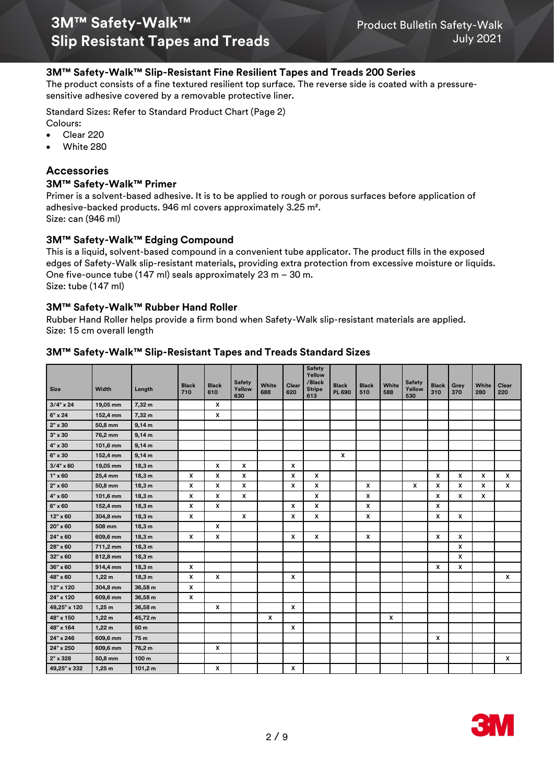## **3M™ Safety-Walk™ Slip-Resistant Fine Resilient Tapes and Treads 200 Series**

The product consists of a fine textured resilient top surface. The reverse side is coated with a pressuresensitive adhesive covered by a removable protective liner.

Standard Sizes: Refer to Standard Product Chart (Page 2)

Colours:

- Clear 220
- White 280

## **Accessories**

### **3M™ Safety-Walk™ Primer**

Primer is a solvent-based adhesive. It is to be applied to rough or porous surfaces before application of adhesive-backed products. 946 ml covers approximately 3.25 m². Size: can (946 ml)

## **3M™ Safety-Walk™ Edging Compound**

This is a liquid, solvent-based compound in a convenient tube applicator. The product fills in the exposed edges of Safety-Walk slip-resistant materials, providing extra protection from excessive moisture or liquids. One five-ounce tube (147 ml) seals approximately 23 m – 30 m. Size: tube (147 ml)

## **3M™ Safety-Walk™ Rubber Hand Roller**

Rubber Hand Roller helps provide a firm bond when Safety-Walk slip-resistant materials are applied. Size: 15 cm overall length

#### **3M™ Safety-Walk™ Slip-Resistant Tapes and Treads Standard Sizes**

| <b>Size</b>    | Width    | Length  | <b>Black</b>   | <b>Black</b> | <b>Safety</b><br>Yellow | White | Clear                     | <b>Safety</b><br>Yellow<br>/Black<br><b>Stripe</b> | <b>Black</b>              | <b>Black</b> | White | <b>Safety</b><br>Yellow | <b>Black</b> | Grey         | White | Clear        |
|----------------|----------|---------|----------------|--------------|-------------------------|-------|---------------------------|----------------------------------------------------|---------------------------|--------------|-------|-------------------------|--------------|--------------|-------|--------------|
|                |          |         | 710            | 610          | 630                     | 688   | 620                       | 613                                                | <b>PL 690</b>             | 510          | 588   | 530                     | 310          | 370          | 280   | 220          |
| $3/4$ " x 24   | 19,05 mm | 7,32 m  |                | X            |                         |       |                           |                                                    |                           |              |       |                         |              |              |       |              |
| 6" x 24        | 152,4 mm | 7,32 m  |                | x            |                         |       |                           |                                                    |                           |              |       |                         |              |              |       |              |
| $2" \times 30$ | 50,8 mm  | 9,14 m  |                |              |                         |       |                           |                                                    |                           |              |       |                         |              |              |       |              |
| $3" \times 30$ | 76,2 mm  | 9,14 m  |                |              |                         |       |                           |                                                    |                           |              |       |                         |              |              |       |              |
| 4" x 30        | 101,6 mm | 9,14 m  |                |              |                         |       |                           |                                                    |                           |              |       |                         |              |              |       |              |
| 6" x 30        | 152,4 mm | 9,14 m  |                |              |                         |       |                           |                                                    | $\boldsymbol{\mathsf{x}}$ |              |       |                         |              |              |       |              |
| $3/4$ " x 60   | 19,05 mm | 18,3 m  |                | $\mathbf{x}$ | x                       |       | $\mathbf{x}$              |                                                    |                           |              |       |                         |              |              |       |              |
| 1" x 60        | 25,4 mm  | 18,3 m  | x              | X            | X                       |       | $\mathbf{x}$              | X                                                  |                           |              |       |                         | X            | $\mathbf{x}$ | X     | X            |
| $2" \times 60$ | 50,8 mm  | 18,3 m  | x              | x            | x                       |       | x                         | X                                                  |                           | X            |       | X                       | X            | x            | x     | X            |
| $4" \times 60$ | 101,6 mm | 18,3 m  | x              | x            | x                       |       |                           | X                                                  |                           | X            |       |                         | X            | x            | x     |              |
| 6" x 60        | 152,4 mm | 18,3 m  | x              | x            |                         |       | $\pmb{\times}$            | x                                                  |                           | X            |       |                         | x            |              |       |              |
| 12" x 60       | 304,8 mm | 18,3 m  | x              |              | x                       |       | $\boldsymbol{\mathsf{x}}$ | X                                                  |                           | X            |       |                         | x            | x            |       |              |
| 20" x 60       | 508 mm   | 18,3 m  |                | x            |                         |       |                           |                                                    |                           |              |       |                         |              |              |       |              |
| 24" x 60       | 609,6 mm | 18,3 m  | x              | x            |                         |       | $\boldsymbol{\mathsf{x}}$ | X                                                  |                           | X            |       |                         | x            | x            |       |              |
| 28" x 60       | 711,2 mm | 18,3 m  |                |              |                         |       |                           |                                                    |                           |              |       |                         |              | $\pmb{\chi}$ |       |              |
| 32" x 60       | 812,8 mm | 18,3 m  |                |              |                         |       |                           |                                                    |                           |              |       |                         |              | x            |       |              |
| 36" x 60       | 914,4 mm | 18,3 m  | $\pmb{\times}$ |              |                         |       |                           |                                                    |                           |              |       |                         | X            | x            |       |              |
| 48" x 60       | 1,22m    | 18,3 m  | x              | X            |                         |       | $\boldsymbol{\mathsf{x}}$ |                                                    |                           |              |       |                         |              |              |       | X            |
| 12" x 120      | 304,8 mm | 36,58 m | $\pmb{\chi}$   |              |                         |       |                           |                                                    |                           |              |       |                         |              |              |       |              |
| 24" x 120      | 609,6 mm | 36,58 m | x              |              |                         |       |                           |                                                    |                           |              |       |                         |              |              |       |              |
| 49,25" x 120   | 1,25m    | 36,58 m |                | x            |                         |       | $\boldsymbol{\mathsf{x}}$ |                                                    |                           |              |       |                         |              |              |       |              |
| 48" x 150      | 1,22m    | 45,72 m |                |              |                         | x     |                           |                                                    |                           |              | X     |                         |              |              |       |              |
| 48" x 164      | 1,22m    | 50 m    |                |              |                         |       | $\boldsymbol{\mathsf{x}}$ |                                                    |                           |              |       |                         |              |              |       |              |
| 24" x 246      | 609,6 mm | 75 m    |                |              |                         |       |                           |                                                    |                           |              |       |                         | x            |              |       |              |
| 24" x 250      | 609,6 mm | 76,2 m  |                | X            |                         |       |                           |                                                    |                           |              |       |                         |              |              |       |              |
| 2" x 328       | 50,8 mm  | 100 m   |                |              |                         |       |                           |                                                    |                           |              |       |                         |              |              |       | $\pmb{\chi}$ |
| 49,25" x 332   | 1,25m    | 101,2 m |                | x            |                         |       | X                         |                                                    |                           |              |       |                         |              |              |       |              |

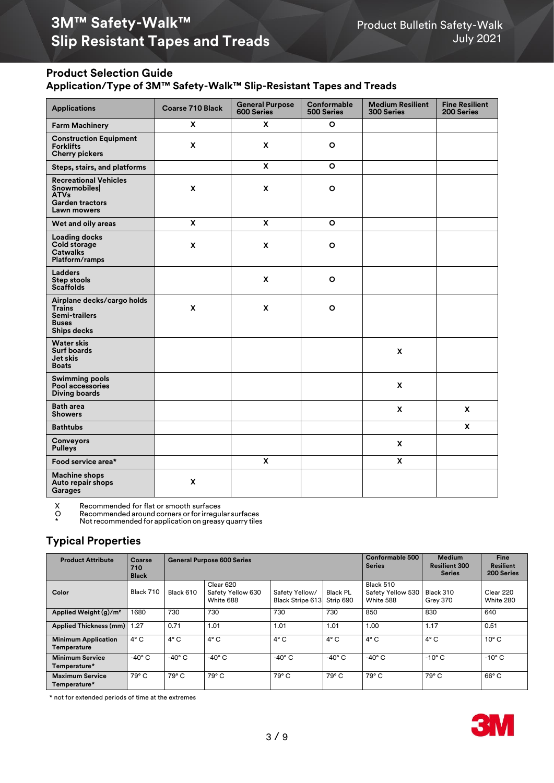# **3M™ Safety-Walk™**<br>**1**Product Bulletin Safety-Walk Product Bulletin Safety-Walk<br>2021 July **Slip Resistant Tapes and Treads**

# **Product Selection Guide**

**Application/Type of 3M™ Safety-Walk™ Slip-Resistant Tapes and Treads**

| <b>Applications</b>                                                                                        | <b>Coarse 710 Black</b> | <b>General Purpose</b><br><b>600 Series</b> | Conformable<br>500 Series | <b>Medium Resilient</b><br><b>300 Series</b> | <b>Fine Resilient</b><br>200 Series |
|------------------------------------------------------------------------------------------------------------|-------------------------|---------------------------------------------|---------------------------|----------------------------------------------|-------------------------------------|
| <b>Farm Machinery</b>                                                                                      | X                       | X                                           | $\circ$                   |                                              |                                     |
| <b>Construction Equipment</b><br><b>Forklifts</b><br><b>Cherry pickers</b>                                 | $\pmb{\mathsf{x}}$      | $\pmb{\mathsf{x}}$                          | $\circ$                   |                                              |                                     |
| Steps, stairs, and platforms                                                                               |                         | X                                           | $\circ$                   |                                              |                                     |
| <b>Recreational Vehicles</b><br>Snowmobiles<br><b>ATVs</b><br><b>Garden tractors</b><br><b>Lawn mowers</b> | X                       | X                                           | $\circ$                   |                                              |                                     |
| Wet and oily areas                                                                                         | X                       | X                                           | $\circ$                   |                                              |                                     |
| <b>Loading docks</b><br>Cold storage<br><b>Catwalks</b><br>Platform/ramps                                  | X                       | X                                           | $\circ$                   |                                              |                                     |
| <b>Ladders</b><br><b>Step stools</b><br><b>Scaffolds</b>                                                   |                         | X                                           | $\circ$                   |                                              |                                     |
| Airplane decks/cargo holds<br><b>Trains</b><br><b>Semi-trailers</b><br><b>Buses</b><br><b>Ships decks</b>  | X                       | $\pmb{\mathsf{x}}$                          | $\circ$                   |                                              |                                     |
| <b>Water skis</b><br><b>Surf boards</b><br>Jet skis<br><b>Boats</b>                                        |                         |                                             |                           | $\mathbf{x}$                                 |                                     |
| <b>Swimming pools</b><br>Pool accessories<br><b>Diving boards</b>                                          |                         |                                             |                           | X                                            |                                     |
| <b>Bath area</b><br><b>Showers</b>                                                                         |                         |                                             |                           | $\pmb{\mathsf{x}}$                           | $\boldsymbol{\mathsf{X}}$           |
| <b>Bathtubs</b>                                                                                            |                         |                                             |                           |                                              | $\mathbf{x}$                        |
| <b>Conveyors</b><br><b>Pulleys</b>                                                                         |                         |                                             |                           | $\mathbf{x}$                                 |                                     |
| Food service area*                                                                                         |                         | X                                           |                           | <b>X</b>                                     |                                     |
| <b>Machine shops</b><br>Auto repair shops<br>Garages                                                       | X                       |                                             |                           |                                              |                                     |

X Recommended for flat or smooth surfaces<br>O Recommended around corners or for irregu

O Recommendedaround corners orforirregular surfaces

\* Notrecommended for application on greasy quarry tiles

# **Typical Properties**

| <b>Product Attribute</b>                  | Coarse<br>710<br><b>Black</b> |                  | <b>General Purpose 600 Series</b>           | Conformable 500<br><b>Series</b>          | <b>Medium</b><br><b>Resilient 300</b><br><b>Series</b> | <b>Fine</b><br>Resilient<br>200 Series      |                       |                        |
|-------------------------------------------|-------------------------------|------------------|---------------------------------------------|-------------------------------------------|--------------------------------------------------------|---------------------------------------------|-----------------------|------------------------|
| Color                                     | Black 710                     | Black 610        | Clear 620<br>Safety Yellow 630<br>White 688 | Safety Yellow/<br><b>Black Stripe 613</b> | <b>Black PL</b><br>Strip 690                           | Black 510<br>Safety Yellow 530<br>White 588 | Black 310<br>Grey 370 | Clear 220<br>White 280 |
| Applied Weight (g)/m <sup>2</sup>         | 1680                          | 730              | 730                                         | 730                                       | 730                                                    | 850                                         | 830                   | 640                    |
| Applied Thickness (mm)                    | 1.27                          | 0.71             | 1.01                                        | 1.01                                      | 1.01                                                   | 1.00                                        | 1.17                  | 0.51                   |
| <b>Minimum Application</b><br>Temperature | $4^{\circ}$ C                 | $4^{\circ}$ C    | $4^{\circ}$ C                               | $4^{\circ}$ C                             | $4^{\circ}$ C                                          | $4^{\circ}$ C                               | $4^{\circ}$ C         | $10^{\circ}$ C         |
| <b>Minimum Service</b><br>Temperature*    | $-40^\circ$ C                 | -40 $^{\circ}$ C | $-40^\circ$ C                               | $-40^{\circ}$ C                           | -40 $^{\circ}$ C                                       | $-40^\circ$ C                               | $-10^{\circ}$ C       | $-10^{\circ}$ C        |
| <b>Maximum Service</b><br>Temperature*    | 79° C                         | 79° C            | 79° C                                       | 79° C                                     | 79° C                                                  | 79° C                                       | 79° C                 | $66^{\circ}$ C         |

\* not for extended periods of time at the extremes

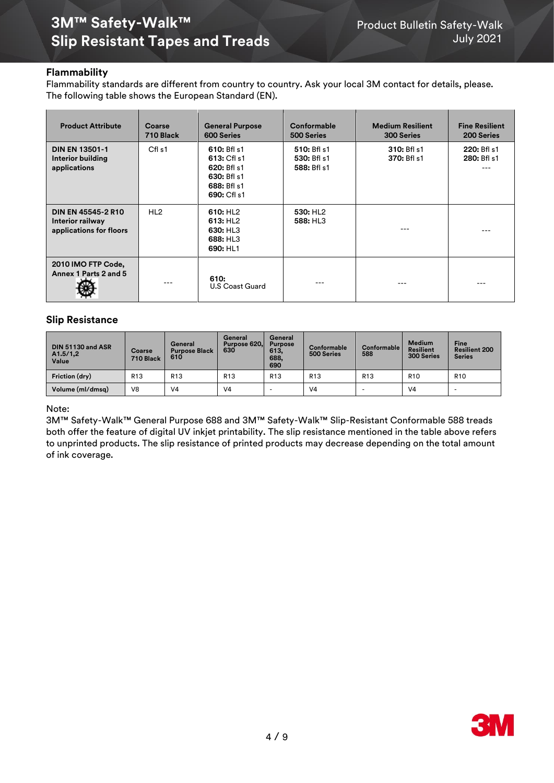# **3M™ Safety-Walk™** Product Bulletin Safety-Walk **Slip Resistant Tapes and Treads** July 2021

## **Flammability**

Flammability standards are different from country to country. Ask your local 3M contact for details, please. The following table shows the European Standard (EN).

| <b>Product Attribute</b>                                                 | Coarse<br>710 Black | <b>General Purpose</b><br><b>600 Series</b>                                            | Conformable<br>500 Series                 | <b>Medium Resilient</b><br><b>300 Series</b> | <b>Fine Resilient</b><br>200 Series |
|--------------------------------------------------------------------------|---------------------|----------------------------------------------------------------------------------------|-------------------------------------------|----------------------------------------------|-------------------------------------|
| <b>DIN EN 13501-1</b><br>Interior building<br>applications               | Cfl <sub>s1</sub>   | 610: Bfl s1<br>613: Cfl s1<br>620: Bfl s1<br>630: Bfl s1<br>688: Bfl s1<br>690: Cfl s1 | 510: Bfl s1<br>530: Bfl s1<br>588: Bfl s1 | 310: Bfl s1<br>370: Bfl s1                   | 220: Bfl s1<br>280: Bfl s1          |
| <b>DIN EN 45545-2 R10</b><br>Interior railway<br>applications for floors | HL <sub>2</sub>     | 610: HL <sub>2</sub><br>613: HL <sub>2</sub><br>630: HL3<br>688: HL3<br>690: HL1       | 530: HL <sub>2</sub><br>588: HL3          |                                              |                                     |
| 2010 IMO FTP Code,<br>Annex 1 Parts 2 and 5                              | ---                 | 610:<br>U.S Coast Guard                                                                |                                           | ---                                          |                                     |

## **Slip Resistance**

| DIN 51130 and ASR<br>A1.5/1,2<br>Value | Coarse<br>710 Black | General<br><b>Purpose Black</b><br>610 | General<br>Purpose 620.<br>630 | General<br><b>Purpose</b><br>613,<br>688,<br>690 | <b>Conformable</b><br>500 Series | Conformable<br>588 | <b>Medium</b><br><b>Resilient</b><br>300 Series | <b>Fine</b><br><b>Resilient 200</b><br><b>Series</b> |
|----------------------------------------|---------------------|----------------------------------------|--------------------------------|--------------------------------------------------|----------------------------------|--------------------|-------------------------------------------------|------------------------------------------------------|
| Friction (dry)                         | R <sub>13</sub>     | R <sub>13</sub>                        | R <sub>13</sub>                | R <sub>13</sub>                                  | R <sub>13</sub>                  | R <sub>13</sub>    | R <sub>10</sub>                                 | R <sub>10</sub>                                      |
| Volume (ml/dmsq)                       | V <sub>8</sub>      | V4                                     | V <sub>4</sub>                 |                                                  | V <sub>4</sub>                   | -                  | V <sub>4</sub>                                  |                                                      |

#### Note:

3M™ Safety-Walk™ General Purpose 688 and 3M™ Safety-Walk™ Slip-Resistant Conformable 588 treads both offer the feature of digital UV inkjet printability. The slip resistance mentioned in the table above refers to unprinted products. The slip resistance of printed products may decrease depending on the total amount of ink coverage.

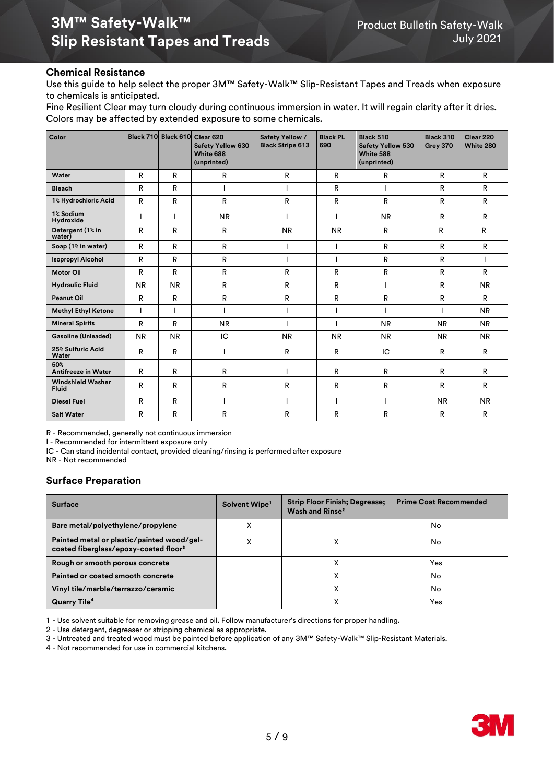### **Chemical Resistance**

Use this guide to help select the proper 3M™ Safety-Walk™ Slip-Resistant Tapes and Treads when exposure to chemicals is anticipated.

Fine Resilient Clear may turn cloudy during continuous immersion in water. It will regain clarity after it dries. Colors may be affected by extended exposure to some chemicals.

| Color                                    |           |              | Black 710 Black 610 Clear 620<br><b>Safety Yellow 630</b><br>White 688<br>(unprinted) | Safety Yellow /<br><b>Black Stripe 613</b> | <b>Black PL</b><br>690 | Black 510<br><b>Safety Yellow 530</b><br>White 588<br>(unprinted) | Black 310<br>Grey 370 | Clear 220<br>White 280 |
|------------------------------------------|-----------|--------------|---------------------------------------------------------------------------------------|--------------------------------------------|------------------------|-------------------------------------------------------------------|-----------------------|------------------------|
| Water                                    | R         | R            | $\mathsf{R}$                                                                          | R                                          | R                      | $\mathsf{R}$                                                      | R                     | $\mathsf{R}$           |
| <b>Bleach</b>                            | R         | R            |                                                                                       |                                            | R                      |                                                                   | R                     | R                      |
| 1% Hydrochloric Acid                     | R         | R            | R                                                                                     | R                                          | R                      | R                                                                 | R                     | R                      |
| 1% Sodium<br>Hydroxide                   |           |              | <b>NR</b>                                                                             |                                            |                        | <b>NR</b>                                                         | R                     | R                      |
| Detergent (1% in<br>water)               | R         | R            | R                                                                                     | <b>NR</b>                                  | <b>NR</b>              | R                                                                 | R                     | R                      |
| Soap (1% in water)                       | R         | R            | R                                                                                     |                                            |                        | $\mathsf{R}$                                                      | R                     | R                      |
| <b>Isopropyl Alcohol</b>                 | R         | $\mathsf{R}$ | R                                                                                     |                                            |                        | R                                                                 | R                     |                        |
| <b>Motor Oil</b>                         | R         | R            | R                                                                                     | R                                          | R                      | R                                                                 | R                     | R                      |
| <b>Hydraulic Fluid</b>                   | <b>NR</b> | <b>NR</b>    | R                                                                                     | R                                          | R                      |                                                                   | R                     | <b>NR</b>              |
| <b>Peanut Oil</b>                        | R         | R            | R                                                                                     | R                                          | R                      | R                                                                 | R                     | R                      |
| <b>Methyl Ethyl Ketone</b>               | I         |              |                                                                                       |                                            |                        |                                                                   |                       | <b>NR</b>              |
| <b>Mineral Spirits</b>                   | R         | R            | <b>NR</b>                                                                             |                                            |                        | <b>NR</b>                                                         | <b>NR</b>             | <b>NR</b>              |
| Gasoline (Unleaded)                      | <b>NR</b> | <b>NR</b>    | IC                                                                                    | <b>NR</b>                                  | <b>NR</b>              | <b>NR</b>                                                         | <b>NR</b>             | <b>NR</b>              |
| 25% Sulfuric Acid<br>Water               | R         | R            |                                                                                       | R                                          | R                      | IC                                                                | R                     | R                      |
| 50%<br><b>Antifreeze in Water</b>        | R         | R            | R                                                                                     |                                            | R                      | R                                                                 | R                     | R                      |
| <b>Windshield Washer</b><br><b>Fluid</b> | R         | R            | R                                                                                     | R                                          | R                      | R                                                                 | R                     | R                      |
| <b>Diesel Fuel</b>                       | R         | $\mathsf{R}$ |                                                                                       |                                            |                        |                                                                   | <b>NR</b>             | <b>NR</b>              |
| <b>Salt Water</b>                        | R         | R            | R                                                                                     | R                                          | R                      | R                                                                 | R                     | R                      |

R - Recommended, generally not continuous immersion

I - Recommended for intermittent exposure only

IC - Can stand incidental contact, provided cleaning/rinsing is performed after exposure

NR - Not recommended

## **Surface Preparation**

| <b>Surface</b>                                                                                  | Solvent Wipe <sup>1</sup> | <b>Strip Floor Finish; Degrease;</b><br>Wash and Rinse <sup>2</sup> | <b>Prime Coat Recommended</b> |
|-------------------------------------------------------------------------------------------------|---------------------------|---------------------------------------------------------------------|-------------------------------|
| Bare metal/polyethylene/propylene                                                               | ∧                         |                                                                     | No                            |
| Painted metal or plastic/painted wood/gel-<br>coated fiberglass/epoxy-coated floor <sup>3</sup> | v<br>$\lambda$            |                                                                     | No                            |
| Rough or smooth porous concrete                                                                 |                           |                                                                     | Yes                           |
| Painted or coated smooth concrete                                                               |                           |                                                                     | No                            |
| Vinyl tile/marble/terrazzo/ceramic                                                              |                           |                                                                     | No                            |
| <b>Quarry Tile<sup>4</sup></b>                                                                  |                           |                                                                     | Yes                           |

1 - Use solvent suitable for removing grease and oil. Follow manufacturer's directions for proper handling.

2 - Use detergent, degreaser or stripping chemical as appropriate.

3 - Untreated and treated wood must be painted before application of any 3M™ Safety-Walk™ Slip-Resistant Materials.

4 - Not recommended for use in commercial kitchens.

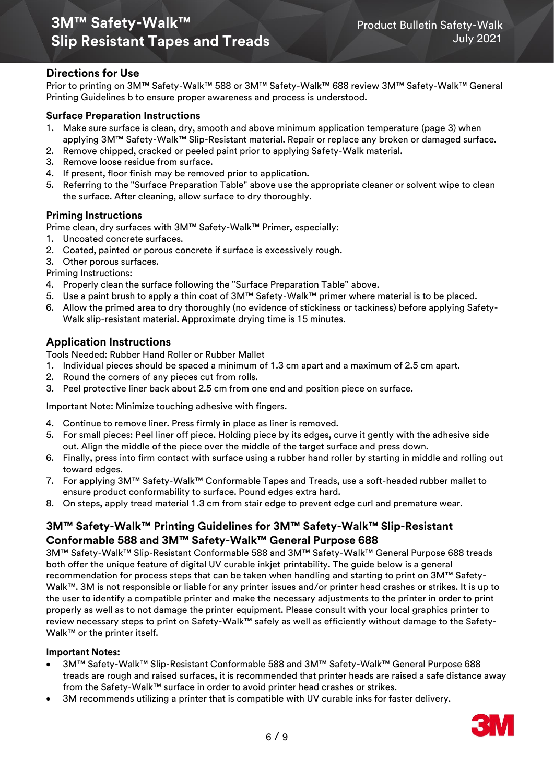# **3M™ Safety-Walk™** Product Bulletin Safety-Walk **Slip Resistant Tapes and Treads** July 2021

## **Directions for Use**

Prior to printing on 3M™ Safety-Walk™ 588 or 3M™ Safety-Walk™ 688 review 3M™ Safety-Walk™ General Printing Guidelines b to ensure proper awareness and process is understood.

## **Surface Preparation Instructions**

- 1. Make sure surface is clean, dry, smooth and above minimum application temperature (page 3) when applying 3M™ Safety-Walk™ Slip-Resistant material. Repair or replace any broken or damaged surface.
- 2. Remove chipped, cracked or peeled paint prior to applying Safety-Walk material.
- 3. Remove loose residue from surface.
- 4. If present, floor finish may be removed prior to application.
- 5. Referring to the "Surface Preparation Table" above use the appropriate cleaner or solvent wipe to clean the surface. After cleaning, allow surface to dry thoroughly.

## **Priming Instructions**

Prime clean, dry surfaces with 3M™ Safety-Walk™ Primer, especially:

- 1. Uncoated concrete surfaces.
- 2. Coated, painted or porous concrete if surface is excessively rough.
- 3. Other porous surfaces.

Priming Instructions:

- 4. Properly clean the surface following the "Surface Preparation Table" above.
- 5. Use a paint brush to apply a thin coat of 3M™ Safety-Walk™ primer where material is to be placed.
- 6. Allow the primed area to dry thoroughly (no evidence of stickiness or tackiness) before applying Safety-Walk slip-resistant material. Approximate drying time is 15 minutes.

## **Application Instructions**

Tools Needed: Rubber Hand Roller or Rubber Mallet

- 1. Individual pieces should be spaced a minimum of 1.3 cm apart and a maximum of 2.5 cm apart.
- 2. Round the corners of any pieces cut from rolls.
- 3. Peel protective liner back about 2.5 cm from one end and position piece on surface.

Important Note: Minimize touching adhesive with fingers.

- 4. Continue to remove liner. Press firmly in place as liner is removed.
- 5. For small pieces: Peel liner off piece. Holding piece by its edges, curve it gently with the adhesive side out. Align the middle of the piece over the middle of the target surface and press down.
- 6. Finally, press into firm contact with surface using a rubber hand roller by starting in middle and rolling out toward edges.
- 7. For applying 3M™ Safety-Walk™ Conformable Tapes and Treads, use a soft-headed rubber mallet to ensure product conformability to surface. Pound edges extra hard.
- 8. On steps, apply tread material 1.3 cm from stair edge to prevent edge curl and premature wear.

## **3M™ Safety-Walk™ Printing Guidelines for 3M™ Safety-Walk™ Slip-Resistant Conformable 588 and 3M™ Safety-Walk™ General Purpose 688**

3M™ Safety-Walk™ Slip-Resistant Conformable 588 and 3M™ Safety-Walk™ General Purpose 688 treads both offer the unique feature of digital UV curable inkjet printability. The guide below is a general recommendation for process steps that can be taken when handling and starting to print on 3M™ Safety-Walk™. 3M is not responsible or liable for any printer issues and/or printer head crashes or strikes. It is up to the user to identify a compatible printer and make the necessary adjustments to the printer in order to print properly as well as to not damage the printer equipment. Please consult with your local graphics printer to review necessary steps to print on Safety-Walk™ safely as well as efficiently without damage to the Safety-Walk™ or the printer itself.

#### **Important Notes:**

- 3M™ Safety-Walk™ Slip-Resistant Conformable 588 and 3M™ Safety-Walk™ General Purpose 688 treads are rough and raised surfaces, it is recommended that printer heads are raised a safe distance away from the Safety-Walk™ surface in order to avoid printer head crashes or strikes.
- 3M recommends utilizing a printer that is compatible with UV curable inks for faster delivery.

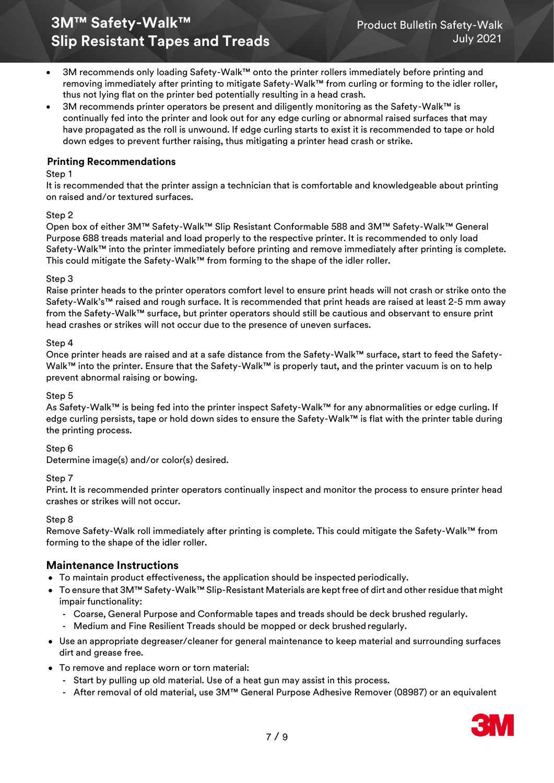- 3M recommends only loading Safety-Walk™ onto the printer rollers immediately before printing and removing immediately after printing to mitigate Safety-Walk™ from curling or forming to the idler roller, thus not lying flat on the printer bed potentially resulting in a head crash.
- 3M recommends printer operators be present and diligently monitoring as the Safety-Walk™ is continually fed into the printer and look out for any edge curling or abnormal raised surfaces that may have propagated as the roll is unwound. If edge curling starts to exist it is recommended to tape or hold down edges to prevent further raising, thus mitigating a printer head crash or strike.

### **Printing Recommendations**

#### Step 1

It is recommended that the printer assign a technician that is comfortable and knowledgeable about printing on raised and/or textured surfaces.

#### Step 2

Open box of either 3M™ Safety-Walk™ Slip Resistant Conformable 588 and 3M™ Safety-Walk™ General Purpose 688 treads material and load properly to the respective printer. It is recommended to only load Safety-Walk™ into the printer immediately before printing and remove immediately after printing is complete. This could mitigate the Safety-Walk™ from forming to the shape of the idler roller.

#### Step 3

Raise printer heads to the printer operators comfort level to ensure print heads will not crash or strike onto the Safety-Walk's™ raised and rough surface. It is recommended that print heads are raised at least 2-5 mm away from the Safety-Walk™ surface, but printer operators should still be cautious and observant to ensure print head crashes or strikes will not occur due to the presence of uneven surfaces.

#### Step 4

Once printer heads are raised and at a safe distance from the Safety-Walk™ surface, start to feed the Safety-Walk™ into the printer. Ensure that the Safety-Walk™ is properly taut, and the printer vacuum is on to help prevent abnormal raising or bowing.

#### Step 5

As Safety-Walk™ is being fed into the printer inspect Safety-Walk™ for any abnormalities or edge curling. If edge curling persists, tape or hold down sides to ensure the Safety-Walk™ is flat with the printer table during the printing process.

#### Step 6

Determine image(s) and/or color(s) desired.

#### Step 7

Print. It is recommended printer operators continually inspect and monitor the process to ensure printer head crashes or strikes will not occur.

#### Step 8

Remove Safety-Walk roll immediately after printing is complete. This could mitigate the Safety-Walk™ from forming to the shape of the idler roller.

## **Maintenance Instructions**

- To maintain product effectiveness, the application should be inspected periodically.
- To ensure that 3M™ Safety-Walk™ Slip-Resistant Materials are kept free of dirt and other residue that might impair functionality:
	- **-** Coarse, General Purpose and Conformable tapes and treads should be deck brushed regularly.
	- **-** Medium and Fine Resilient Treads should be mopped or deck brushed regularly.
- Use an appropriate degreaser/cleaner for general maintenance to keep material and surrounding surfaces dirt and grease free.
- To remove and replace worn or torn material:
	- **-** Start by pulling up old material. Use of a heat gun may assist in this process.
	- **-** After removal of old material, use 3M™ General Purpose Adhesive Remover (08987) or an equivalent

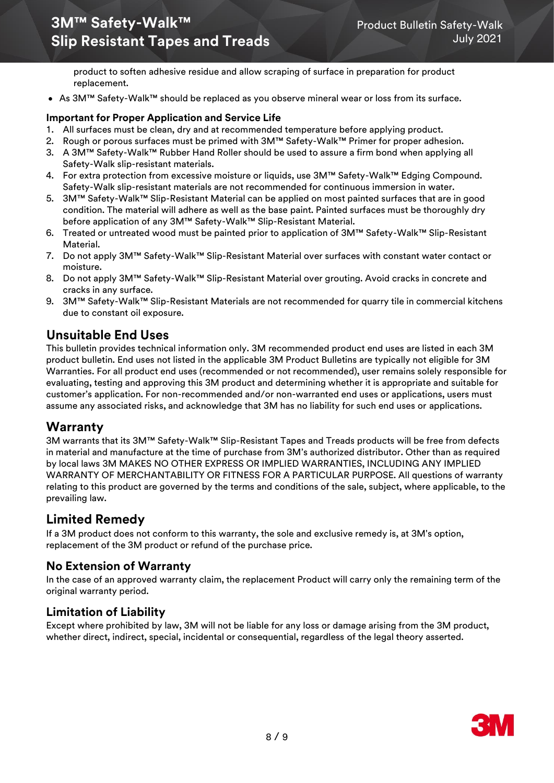product to soften adhesive residue and allow scraping of surface in preparation for product replacement.

• As 3M™ Safety-Walk™ should be replaced as you observe mineral wear or loss from its surface.

## **Important for Proper Application and Service Life**

- 1. All surfaces must be clean, dry and at recommended temperature before applying product.
- 2. Rough or porous surfaces must be primed with 3M™ Safety-Walk™ Primer for proper adhesion.
- 3. A 3M™ Safety-Walk™ Rubber Hand Roller should be used to assure a firm bond when applying all Safety-Walk slip-resistant materials.
- 4. For extra protection from excessive moisture or liquids, use 3M™ Safety-Walk™ Edging Compound. Safety-Walk slip-resistant materials are not recommended for continuous immersion in water.
- 5. 3M™ Safety-Walk™ Slip-Resistant Material can be applied on most painted surfaces that are in good condition. The material will adhere as well as the base paint. Painted surfaces must be thoroughly dry before application of any 3M™ Safety-Walk™ Slip-Resistant Material.
- 6. Treated or untreated wood must be painted prior to application of 3M™ Safety-Walk™ Slip-Resistant Material.
- 7. Do not apply 3M™ Safety-Walk™ Slip-Resistant Material over surfaces with constant water contact or moisture.
- 8. Do not apply 3M™ Safety-Walk™ Slip-Resistant Material over grouting. Avoid cracks in concrete and cracks in any surface.
- 9. 3M™ Safety-Walk™ Slip-Resistant Materials are not recommended for quarry tile in commercial kitchens due to constant oil exposure.

# **Unsuitable End Uses**

This bulletin provides technical information only. 3M recommended product end uses are listed in each 3M product bulletin. End uses not listed in the applicable 3M Product Bulletins are typically not eligible for 3M Warranties. For all product end uses (recommended or not recommended), user remains solely responsible for evaluating, testing and approving this 3M product and determining whether it is appropriate and suitable for customer's application. For non-recommended and/or non-warranted end uses or applications, users must assume any associated risks, and acknowledge that 3M has no liability for such end uses or applications.

# **Warranty**

3M warrants that its 3M™ Safety-Walk™ Slip-Resistant Tapes and Treads products will be free from defects in material and manufacture at the time of purchase from 3M's authorized distributor. Other than as required by local laws 3M MAKES NO OTHER EXPRESS OR IMPLIED WARRANTIES, INCLUDING ANY IMPLIED WARRANTY OF MERCHANTABILITY OR FITNESS FOR A PARTICULAR PURPOSE. All questions of warranty relating to this product are governed by the terms and conditions of the sale, subject, where applicable, to the prevailing law.

# **Limited Remedy**

If a 3M product does not conform to this warranty, the sole and exclusive remedy is, at 3M's option, replacement of the 3M product or refund of the purchase price.

# **No Extension of Warranty**

In the case of an approved warranty claim, the replacement Product will carry only the remaining term of the original warranty period.

# **Limitation of Liability**

Except where prohibited by law, 3M will not be liable for any loss or damage arising from the 3M product, whether direct, indirect, special, incidental or consequential, regardless of the legal theory asserted.